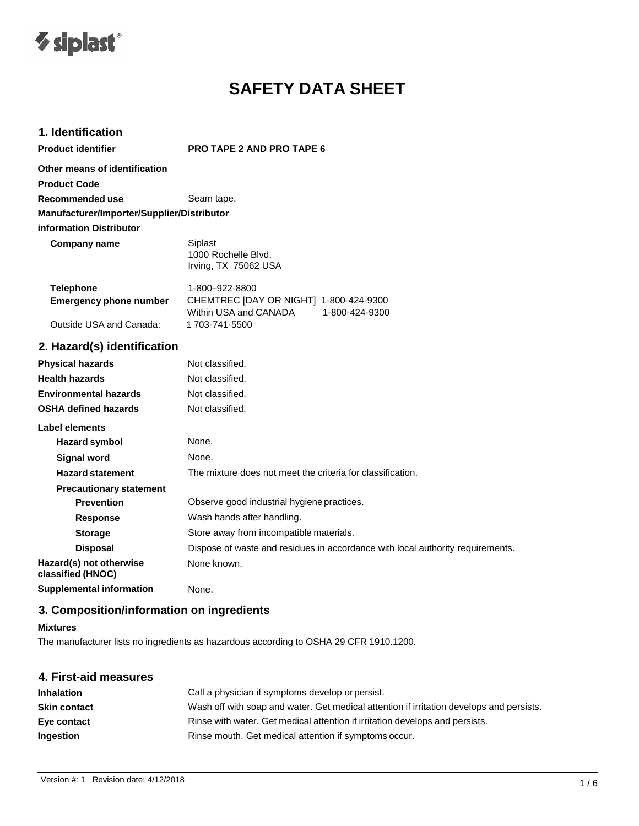

# **SAFETY DATA SHEET**

## **1. Identification**

**Product identifier PRO TAPE 2 AND PRO TAPE 6**

| Other means of identification              |                                                        |
|--------------------------------------------|--------------------------------------------------------|
| <b>Product Code</b>                        |                                                        |
| Recommended use                            | Seam tape.                                             |
| Manufacturer/Importer/Supplier/Distributor |                                                        |
| information Distributor                    |                                                        |
| Company name                               | Siplast<br>1000 Rochelle Blvd.<br>Irving, TX 75062 USA |
| Telephone<br>Emarganau phana numbar        | 1-800-922-8800<br>CHEMTREC IDAY OR NICHTL 1 800 12     |

| <b>Emergency phone number</b> | CHEMTREC [DAY OR NIGHT] 1-800-424-9300 |                |
|-------------------------------|----------------------------------------|----------------|
|                               | Within USA and CANADA                  | 1-800-424-9300 |
| Outside USA and Canada:       | 1 703-741-5500                         |                |

## **2. Hazard(s) identification**

| <b>Physical hazards</b>                      | Not classified.                                                                |
|----------------------------------------------|--------------------------------------------------------------------------------|
| <b>Health hazards</b>                        | Not classified.                                                                |
| <b>Environmental hazards</b>                 | Not classified.                                                                |
| <b>OSHA defined hazards</b>                  | Not classified.                                                                |
| Label elements                               |                                                                                |
| Hazard symbol                                | None.                                                                          |
| <b>Signal word</b>                           | None.                                                                          |
| <b>Hazard statement</b>                      | The mixture does not meet the criteria for classification.                     |
| <b>Precautionary statement</b>               |                                                                                |
| <b>Prevention</b>                            | Observe good industrial hygiene practices.                                     |
| <b>Response</b>                              | Wash hands after handling.                                                     |
| <b>Storage</b>                               | Store away from incompatible materials.                                        |
| <b>Disposal</b>                              | Dispose of waste and residues in accordance with local authority requirements. |
| Hazard(s) not otherwise<br>classified (HNOC) | None known.                                                                    |
| <b>Supplemental information</b>              | None.                                                                          |

## **3. Composition/information on ingredients**

#### **Mixtures**

The manufacturer lists no ingredients as hazardous according to OSHA 29 CFR 1910.1200.

| 4. First-aid measures |                                                                                          |
|-----------------------|------------------------------------------------------------------------------------------|
| <b>Inhalation</b>     | Call a physician if symptoms develop or persist.                                         |
| <b>Skin contact</b>   | Wash off with soap and water. Get medical attention if irritation develops and persists. |
| Eye contact           | Rinse with water. Get medical attention if irritation develops and persists.             |
| Ingestion             | Rinse mouth. Get medical attention if symptoms occur.                                    |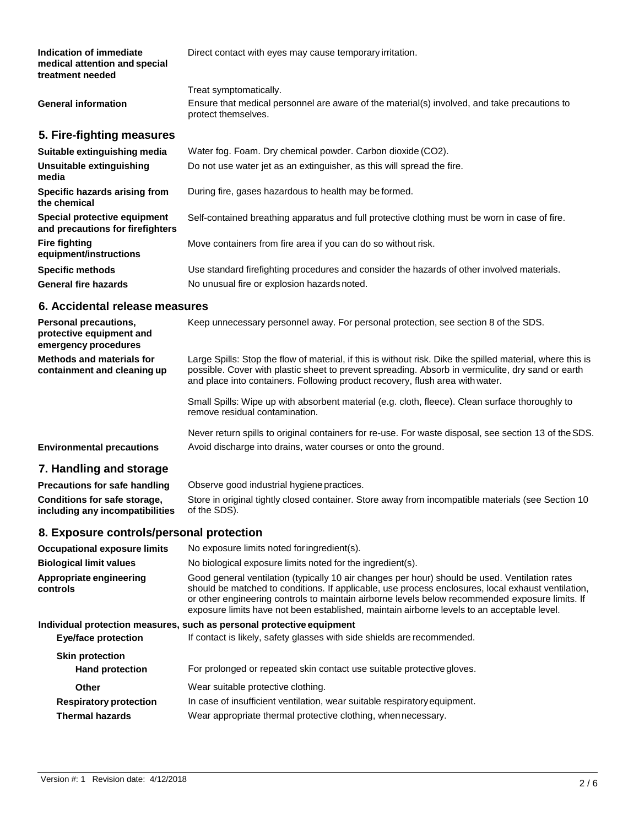| Indication of immediate<br>medical attention and special<br>treatment needed | Direct contact with eyes may cause temporary irritation.                                                                                      |
|------------------------------------------------------------------------------|-----------------------------------------------------------------------------------------------------------------------------------------------|
| <b>General information</b>                                                   | Treat symptomatically.<br>Ensure that medical personnel are aware of the material(s) involved, and take precautions to<br>protect themselves. |
| 5. Fire-fighting measures                                                    |                                                                                                                                               |
| Suitable extinguishing media                                                 | Water fog. Foam. Dry chemical powder. Carbon dioxide (CO2).                                                                                   |
| Unsuitable extinguishing<br>media                                            | Do not use water jet as an extinguisher, as this will spread the fire.                                                                        |
| Specific hazards arising from<br>the chemical                                | During fire, gases hazardous to health may be formed.                                                                                         |
| Special protective equipment<br>and precautions for firefighters             | Self-contained breathing apparatus and full protective clothing must be worn in case of fire.                                                 |
| <b>Fire fighting</b><br>equipment/instructions                               | Move containers from fire area if you can do so without risk.                                                                                 |
| <b>Specific methods</b>                                                      | Use standard firefighting procedures and consider the hazards of other involved materials.                                                    |
| <b>General fire hazards</b>                                                  | No unusual fire or explosion hazards noted.                                                                                                   |

#### **6. Accidental release measures**

| Personal precautions,<br>protective equipment and<br>emergency procedures | Keep unnecessary personnel away. For personal protection, see section 8 of the SDS.                                                                                                                                                                                                              |
|---------------------------------------------------------------------------|--------------------------------------------------------------------------------------------------------------------------------------------------------------------------------------------------------------------------------------------------------------------------------------------------|
| Methods and materials for<br>containment and cleaning up                  | Large Spills: Stop the flow of material, if this is without risk. Dike the spilled material, where this is<br>possible. Cover with plastic sheet to prevent spreading. Absorb in vermiculite, dry sand or earth<br>and place into containers. Following product recovery, flush area with water. |
|                                                                           | Small Spills: Wipe up with absorbent material (e.g. cloth, fleece). Clean surface thoroughly to<br>remove residual contamination.                                                                                                                                                                |
| <b>Environmental precautions</b>                                          | Never return spills to original containers for re-use. For waste disposal, see section 13 of the SDS.<br>Avoid discharge into drains, water courses or onto the ground.                                                                                                                          |

### **7. Handling and storage**

| <b>Precautions for safe handling</b> | Observe good industrial hygiene practices.                                                         |
|--------------------------------------|----------------------------------------------------------------------------------------------------|
| Conditions for safe storage,         | Store in original tightly closed container. Store away from incompatible materials (see Section 10 |
| including any incompatibilities      | of the SDS).                                                                                       |

#### **8. Exposure controls/personal protection**

**Occupational exposure limits** No exposure limits noted foringredient(s).

**Biological limit values** No biological exposure limits noted for the ingredient(s).

**Appropriate engineering controls** Good general ventilation (typically 10 air changes per hour) should be used. Ventilation rates should be matched to conditions. If applicable, use process enclosures, local exhaust ventilation, or other engineering controls to maintain airborne levels below recommended exposure limits. If exposure limits have not been established, maintain airborne levels to an acceptable level.

#### **Individual protection measures, such as personal protective equipment**

| <b>Eye/face protection</b>                       | If contact is likely, safety glasses with side shields are recommended.   |
|--------------------------------------------------|---------------------------------------------------------------------------|
| <b>Skin protection</b><br><b>Hand protection</b> | For prolonged or repeated skin contact use suitable protective gloves.    |
|                                                  |                                                                           |
| Other                                            | Wear suitable protective clothing.                                        |
| <b>Respiratory protection</b>                    | In case of insufficient ventilation, wear suitable respiratory equipment. |
| <b>Thermal hazards</b>                           | Wear appropriate thermal protective clothing, when necessary.             |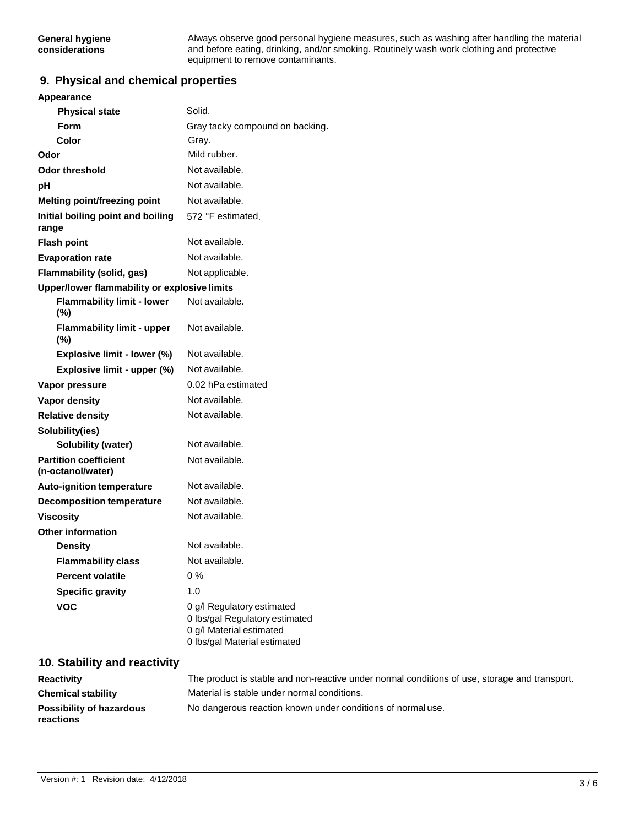Always observe good personal hygiene measures, such as washing after handling the material and before eating, drinking, and/or smoking. Routinely wash work clothing and protective equipment to remove contaminants.

#### **9. Physical and chemical properties**

| Appearance                                        |                                                                                                                          |
|---------------------------------------------------|--------------------------------------------------------------------------------------------------------------------------|
| <b>Physical state</b>                             | Solid.                                                                                                                   |
| <b>Form</b>                                       | Gray tacky compound on backing.                                                                                          |
| Color                                             | Gray.                                                                                                                    |
| Odor                                              | Mild rubber.                                                                                                             |
| <b>Odor threshold</b>                             | Not available.                                                                                                           |
| рH                                                | Not available.                                                                                                           |
| Melting point/freezing point                      | Not available.                                                                                                           |
| Initial boiling point and boiling<br>range        | 572 °F estimated.                                                                                                        |
| <b>Flash point</b>                                | Not available.                                                                                                           |
| <b>Evaporation rate</b>                           | Not available.                                                                                                           |
| Flammability (solid, gas)                         | Not applicable.                                                                                                          |
| Upper/lower flammability or explosive limits      |                                                                                                                          |
| <b>Flammability limit - lower</b><br>(%)          | Not available.                                                                                                           |
| <b>Flammability limit - upper</b><br>(%)          | Not available.                                                                                                           |
| Explosive limit - lower (%)                       | Not available.                                                                                                           |
| Explosive limit - upper (%)                       | Not available.                                                                                                           |
| Vapor pressure                                    | 0.02 hPa estimated                                                                                                       |
| <b>Vapor density</b>                              | Not available.                                                                                                           |
| <b>Relative density</b>                           | Not available.                                                                                                           |
| Solubility(ies)                                   |                                                                                                                          |
| <b>Solubility (water)</b>                         | Not available.                                                                                                           |
| <b>Partition coefficient</b><br>(n-octanol/water) | Not available.                                                                                                           |
| Auto-ignition temperature                         | Not available.                                                                                                           |
| <b>Decomposition temperature</b>                  | Not available.                                                                                                           |
| <b>Viscosity</b>                                  | Not available.                                                                                                           |
| <b>Other information</b>                          |                                                                                                                          |
| <b>Density</b>                                    | Not available.                                                                                                           |
| <b>Flammability class</b>                         | Not available.                                                                                                           |
| <b>Percent volatile</b>                           | $0\%$                                                                                                                    |
| <b>Specific gravity</b>                           | 1.0                                                                                                                      |
| <b>VOC</b>                                        | 0 g/l Regulatory estimated<br>0 lbs/gal Regulatory estimated<br>0 g/l Material estimated<br>0 lbs/gal Material estimated |

## **10. Stability and reactivity**

| <b>Reactivity</b>               | The product is stable and non-reactive under normal conditions of use, storage and transport. |
|---------------------------------|-----------------------------------------------------------------------------------------------|
| <b>Chemical stability</b>       | Material is stable under normal conditions.                                                   |
| <b>Possibility of hazardous</b> | No dangerous reaction known under conditions of normal use.                                   |
| <b>reactions</b>                |                                                                                               |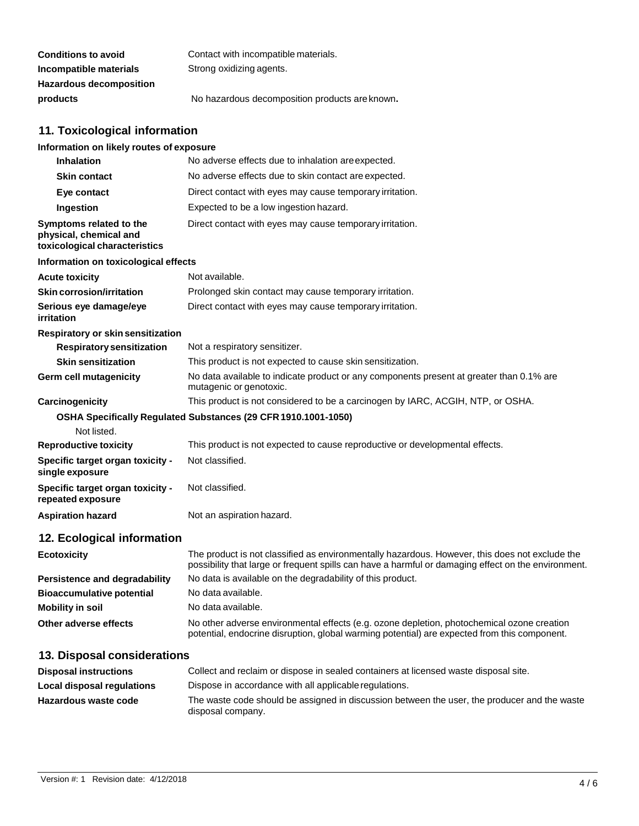| <b>Conditions to avoid</b>     | Contact with incompatible materials.           |
|--------------------------------|------------------------------------------------|
| Incompatible materials         | Strong oxidizing agents.                       |
| <b>Hazardous decomposition</b> |                                                |
| products                       | No hazardous decomposition products are known. |

## **11. Toxicological information**

| Information on likely routes of exposure                                           |                                                                                                                     |
|------------------------------------------------------------------------------------|---------------------------------------------------------------------------------------------------------------------|
| <b>Inhalation</b>                                                                  | No adverse effects due to inhalation are expected.                                                                  |
| <b>Skin contact</b>                                                                | No adverse effects due to skin contact are expected.                                                                |
| Eye contact                                                                        | Direct contact with eyes may cause temporary irritation.                                                            |
| Ingestion                                                                          | Expected to be a low ingestion hazard.                                                                              |
| Symptoms related to the<br>physical, chemical and<br>toxicological characteristics | Direct contact with eyes may cause temporary irritation.                                                            |
| Information on toxicological effects                                               |                                                                                                                     |
| <b>Acute toxicity</b>                                                              | Not available.                                                                                                      |
| Skin corrosion/irritation                                                          | Prolonged skin contact may cause temporary irritation.                                                              |
| Serious eye damage/eye<br>irritation                                               | Direct contact with eyes may cause temporary irritation.                                                            |
| Respiratory or skin sensitization                                                  |                                                                                                                     |
| <b>Respiratory sensitization</b>                                                   | Not a respiratory sensitizer.                                                                                       |
| <b>Skin sensitization</b>                                                          | This product is not expected to cause skin sensitization.                                                           |
| Germ cell mutagenicity                                                             | No data available to indicate product or any components present at greater than 0.1% are<br>mutagenic or genotoxic. |
| Carcinogenicity                                                                    | This product is not considered to be a carcinogen by IARC, ACGIH, NTP, or OSHA.                                     |
|                                                                                    | OSHA Specifically Regulated Substances (29 CFR 1910.1001-1050)                                                      |
| Not listed.                                                                        |                                                                                                                     |
| <b>Reproductive toxicity</b>                                                       | This product is not expected to cause reproductive or developmental effects.                                        |
| Specific target organ toxicity -<br>single exposure                                | Not classified.                                                                                                     |
| Specific target organ toxicity -<br>repeated exposure                              | Not classified.                                                                                                     |
| <b>Aspiration hazard</b>                                                           | Not an aspiration hazard.                                                                                           |
| 12. Ecological information                                                         |                                                                                                                     |

| <b>Ecotoxicity</b>               | The product is not classified as environmentally hazardous. However, this does not exclude the<br>possibility that large or frequent spills can have a harmful or damaging effect on the environment. |
|----------------------------------|-------------------------------------------------------------------------------------------------------------------------------------------------------------------------------------------------------|
| Persistence and degradability    | No data is available on the degradability of this product.                                                                                                                                            |
| <b>Bioaccumulative potential</b> | No data available.                                                                                                                                                                                    |
| <b>Mobility in soil</b>          | No data available.                                                                                                                                                                                    |
| Other adverse effects            | No other adverse environmental effects (e.g. ozone depletion, photochemical ozone creation<br>potential, endocrine disruption, global warming potential) are expected from this component.            |

## **13. Disposal considerations**

| <b>Disposal instructions</b> | Collect and reclaim or dispose in sealed containers at licensed waste disposal site.                              |
|------------------------------|-------------------------------------------------------------------------------------------------------------------|
| Local disposal regulations   | Dispose in accordance with all applicable regulations.                                                            |
| Hazardous waste code         | The waste code should be assigned in discussion between the user, the producer and the waste<br>disposal company. |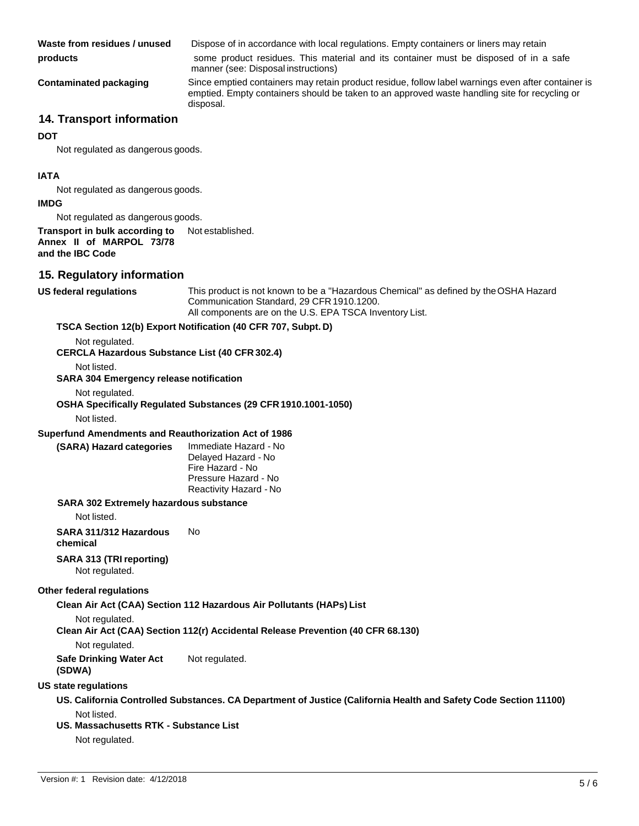**Waste from residues / unused** Dispose of in accordance with local regulations. Empty containers or liners may retain

**products** some product residues. This material and its container must be disposed of in a safe manner (see: Disposal instructions)

**Contaminated packaging** Since emptied containers may retain product residue, follow label warnings even after container is emptied. Empty containers should be taken to an approved waste handling site for recycling or disposal.

## **14. Transport information**

#### **DOT**

Not regulated as dangerous goods.

#### **IATA**

Not regulated as dangerous goods.

#### **IMDG**

Not regulated as dangerous goods.

**Transport in bulk according to Annex II of MARPOL 73/78 and the IBC Code** Not established.

#### **15. Regulatory information**

**US federal regulations** This product is not known to be a "Hazardous Chemical" as defined by theOSHA Hazard Communication Standard, 29 CFR1910.1200. All components are on the U.S. EPA TSCA Inventory List.

#### **TSCA Section 12(b) Export Notification (40 CFR 707, Subpt. D)**

Not regulated.

**CERCLA Hazardous Substance List (40 CFR 302.4)**

Not listed.

**SARA 304 Emergency release notification**

Not regulated.

**OSHA Specifically Regulated Substances (29 CFR 1910.1001-1050)**

Not listed.

#### **Superfund Amendments and Reauthorization Act of 1986**

| (SARA) Hazard categories |  | <i>Imme</i> |
|--------------------------|--|-------------|
|                          |  |             |

**(SARA) Hazard categories** Immediate Hazard - No Delayed Hazard - No Fire Hazard - No Pressure Hazard - No Reactivity Hazard - No

#### **SARA 302 Extremely hazardous substance**

Not listed.

**SARA 311/312 Hazardous** No **chemical**

**SARA 313 (TRIreporting)**

Not regulated.

#### **Other federal regulations**

**Clean Air Act (CAA) Section 112 Hazardous Air Pollutants (HAPs) List**

Not regulated.

**Clean Air Act (CAA) Section 112(r) Accidental Release Prevention (40 CFR 68.130)**

Not regulated.

**Safe Drinking Water Act**  Not regulated.

**(SDWA)**

#### **US state regulations**

**US. California Controlled Substances. CA Department of Justice (California Health and Safety Code Section 11100)** Not listed.

#### **US. Massachusetts RTK - Substance List**

Not regulated.